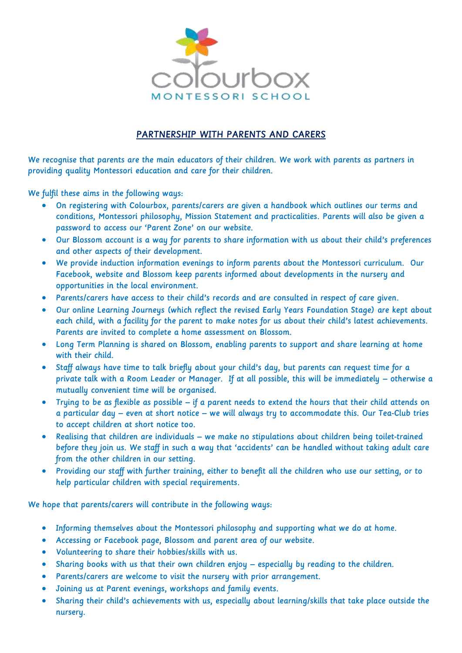

## PARTNERSHIP WITH PARENTS AND CARERS

We recognise that parents are the main educators of their children. We work with parents as partners in providing quality Montessori education and care for their children.

We fulfil these aims in the following ways:

- On registering with Colourbox, parents/carers are given a handbook which outlines our terms and conditions, Montessori philosophy, Mission Statement and practicalities. Parents will also be given a password to access our 'Parent Zone' on our website.
- Our Blossom account is a way for parents to share information with us about their child's preferences and other aspects of their development.
- We provide induction information evenings to inform parents about the Montessori curriculum. Our Facebook, website and Blossom keep parents informed about developments in the nursery and opportunities in the local environment.
- Parents/carers have access to their child's records and are consulted in respect of care given.
- Our online Learning Journeys (which reflect the revised Early Years Foundation Stage) are kept about each child, with a facility for the parent to make notes for us about their child's latest achievements. Parents are invited to complete a home assessment on Blossom.
- Long Term Planning is shared on Blossom, enabling parents to support and share learning at home with their child.
- Staff always have time to talk briefly about your child's day, but parents can request time for a private talk with a Room Leader or Manager. If at all possible, this will be immediately – otherwise a mutually convenient time will be organised.
- Trying to be as flexible as possible if a parent needs to extend the hours that their child attends on a particular day – even at short notice – we will always try to accommodate this. Our Tea-Club tries to accept children at short notice too.
- Realising that children are individuals we make no stipulations about children being toilet-trained before they join us. We staff in such a way that 'accidents' can be handled without taking adult care from the other children in our setting.
- Providing our staff with further training, either to benefit all the children who use our setting, or to help particular children with special requirements.

We hope that parents/carers will contribute in the following ways:

- Informing themselves about the Montessori philosophy and supporting what we do at home.
- Accessing or Facebook page, Blossom and parent area of our website.
- Volunteering to share their hobbies/skills with us.
- Sharing books with us that their own children enjoy especially by reading to the children.
- Parents/carers are welcome to visit the nursery with prior arrangement.
- Joining us at Parent evenings, workshops and family events.
- Sharing their child's achievements with us, especially about learning/skills that take place outside the nursery.